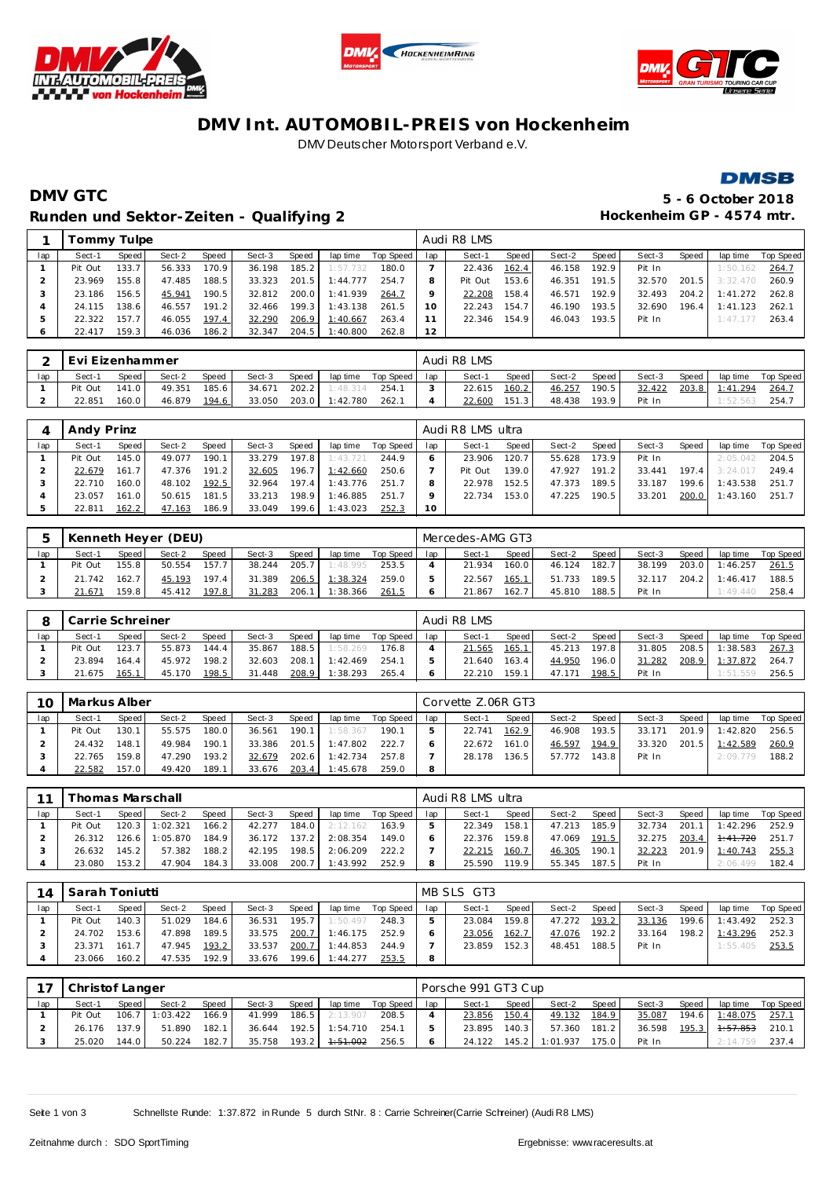





## **DMV Int. AUTOMOBIL-PREIS von Hockenheim** DMV Deutscher Motorsport Verband e.V.



# **DMV GTC 5 - 6 October 2018** Runden und Sektor-Zeiten - Qualifying 2 **and Europe Containers 1986** Hockenheim GP - 4574 mtr.

|     |         | Fommy Tulpe |        |       |        |       |          |           |     | Audi R8 LMS |       |        |       |        |       |          |           |
|-----|---------|-------------|--------|-------|--------|-------|----------|-----------|-----|-------------|-------|--------|-------|--------|-------|----------|-----------|
| lap | Sect-1  | Speed       | Sect-2 | Speed | Sect-3 | Speed | lap time | Top Speed | lap | Sect-1      | Speed | Sect-2 | Speed | Sect-3 | Speed | lap time | Top Speed |
|     | Pit Out | 133.7       | 56.333 | 170.9 | 36.198 | 185.2 | 1:57.732 | 180.0     |     | 22.436      | 162.4 | 46.158 | 192.9 | Pit In |       | 1:50.162 | 264.7     |
|     | 23.969  | 155.8       | 47.485 | 188.5 | 33.323 | 201.5 | 1:44.777 | 254.7     | 8   | Pit Out     | 153.6 | 46.351 | 191.5 | 32.570 | 201.5 | 3:32.470 | 260.9     |
| 3   | 23.186  | 156.5       | 45.941 | 190.5 | 32.812 | 200.0 | 1:41.939 | 264.7     |     | 22.208      | 158.4 | 46.571 | 192.9 | 32.493 | 204.2 | 1:41.272 | 262.8     |
|     | 24.115  | 138.6       | 46.557 | 191.2 | 32.466 | 199.3 | 1:43.138 | 261.5     | 10  | 22.243      | 154.7 | 46.190 | 193.5 | 32.690 | 196.4 | 1:41.123 | 262.1     |
|     | 22.322  | 157.7       | 46.055 | 197.4 | 32.290 | 206.9 | 1:40.667 | 263.4     |     | 22.346      | 154.9 | 46.043 | 193.5 | Pit In |       | 1:47.177 | 263.4     |
|     | 22.417  | 159.3       | 46.036 | 186.2 | 32.347 | 204.5 | 1:40.800 | 262.8     | 12  |             |       |        |       |        |       |          |           |

|     | Evi Eizenhammer |       |        |       |        |       |          |           |     | Audi R8 LMS |       |        |       |        |       |          |           |
|-----|-----------------|-------|--------|-------|--------|-------|----------|-----------|-----|-------------|-------|--------|-------|--------|-------|----------|-----------|
| lap | Sect-1          | Speed | Sect-2 | Speed | Sect-3 | Speed | lap time | Top Speed | lap | Sect-1      | Speed | Sect-2 | Speed | Sect-3 | Speed | lap time | Top Speed |
|     | Pit Out         | 141.0 | 49.351 | 185.6 | 34.671 | 202.2 | 1:48.314 | 254.1     |     | 22.615      | 160.2 | 46.257 | 190.5 | 32.422 | 203.8 | 1:41.294 | 264.      |
|     | 22.851          | 160.0 | 46.879 | 194.6 | 33.050 | 203.0 | 1:42.780 | 262.1     |     | 22.600      | 151.3 | 48.438 | 193.9 | Pit In |       | 1:52.563 | 254.7     |

|     | Andy Prinz |       |        |       |        |       |          |           |     | Audi R8 LMS ultra |                    |        |       |        |       |          |           |
|-----|------------|-------|--------|-------|--------|-------|----------|-----------|-----|-------------------|--------------------|--------|-------|--------|-------|----------|-----------|
| lap | Sect-1     | Speed | Sect-2 | Speed | Sect-3 | Speed | lap time | Top Speed | lap | Sect-1            | Speed              | Sect-2 | Speed | Sect-3 | Speed | lap time | Top Speed |
|     | Pit Out    | 145.0 | 49.077 | 190.1 | 33.279 | 197.8 | 1:43.721 | 244.9     |     | 23.906            | 120.7              | 55.628 | 173.9 | Pit In |       | 2:05.042 | 204.5     |
|     | 22.679     | 161.7 | 47.376 | 191.2 | 32.605 | 196.7 | 1:42.660 | 250.6     |     | Pit Out           | 139.0 <sub>1</sub> | 47.927 | 191.2 | 33.441 | 197.4 | 3:24.017 | 249.4     |
|     | 22.710     | 160.0 | 48.102 | 192.5 | 32.964 | 197.4 | 1:43.776 | 251.7     | 8   | 22.978            | 152.5              | 47.373 | 189.5 | 33.187 | 199.6 | 1:43.538 | 251.7     |
|     | 23.057     | 161.0 | 50.615 | 181.5 | 33.213 | 198.9 | 1:46.885 | 251.7     | Q   | 22.734            | 153.0              | 47.225 | 190.5 | 33.201 | 200.0 | 1:43.160 | 251.7     |
|     | 22.811     | 162.2 | 47.163 | 186.9 | 33.049 | 199.6 | 1:43.023 | 252.3     | 10  |                   |                    |        |       |        |       |          |           |

|     |         |       | Kenneth Heyer (DEU) |       |        |       |          |           |     | Mercedes-AMG GT3 |       |        |       |        |       |          |           |
|-----|---------|-------|---------------------|-------|--------|-------|----------|-----------|-----|------------------|-------|--------|-------|--------|-------|----------|-----------|
| lap | Sect-1  | Speed | Sect-2              | Speed | Sect-3 | Speed | lap time | Top Speed | lap | Sect-1           | Speed | Sect-2 | Speed | Sect-3 | Speed | lap time | Top Speed |
|     | Pit Out | 155.8 | 50.554              | 157.7 | 38.244 | 205.7 | 1:48.995 | 253.5     |     | 21.934           | 160.0 | 46.124 | 182.7 | 38.199 | 203.0 | 1:46.257 | 261.5     |
|     | 21.742  | 162.7 | 45.193              | 197.4 | 31.389 | 206.5 | 1:38.324 | 259.0     |     | 22.567           | 165.1 | 51.733 | 189.5 | 32.117 | 204.2 | 1:46.417 | 188.5     |
|     | 21.671  | 159.8 | 45.412              | 197.8 | 31.283 | 206.1 | 1:38.366 | 261.5     |     | 21.867           | 162.7 | 45.810 | 188.5 | Pit In |       | : 49.440 | 258.4     |

|     | Carrie Schreiner |              |        |       |        |       |          |           |     | Audi R8 LMS |                    |        |       |        |       |          |           |
|-----|------------------|--------------|--------|-------|--------|-------|----------|-----------|-----|-------------|--------------------|--------|-------|--------|-------|----------|-----------|
| lap | Sect-1           | <b>Speed</b> | Sect-2 | Speed | Sect-3 | Speed | lap time | Top Speed | lap | Sect-1      | Speed              | Sect-2 | Speed | Sect-3 | Speed | lap time | Top Speed |
|     | Pit Out          | 123.7        | 55.873 | 144.4 | 35.867 | 188.5 | 1:58.269 | 176.8     |     | 21.565      | 165.1              | 45.213 | 197.8 | 31.805 | 208.5 | 1:38.583 | 267.3     |
|     | 23.894           | 164.4        | 45.972 | 198.2 | 32.603 | 208.1 | 1:42.469 | 254.1     |     | 21.640      | 163.4              | 44.950 | 196.0 | 31.282 | 208.9 | 1:37.872 | 264.7     |
|     | 21.675           | 165.1        | 45.170 | 198.5 | 31.448 | 208.9 | 1:38.293 | 265.4     |     | 22.210      | 159.1 <sub>1</sub> | 47.171 | 198.5 | Pit In |       | : 51.559 | 256.5     |

| 10  | Markus Alber |       |        |       |        |         |          |           |     | Corvette Z.06R GT3 |        |        |       |        |              |          |           |
|-----|--------------|-------|--------|-------|--------|---------|----------|-----------|-----|--------------------|--------|--------|-------|--------|--------------|----------|-----------|
| lap | Sect-1       | Speed | Sect-2 | Speed | Sect-3 | Speed   | lap time | Top Speed | lap | Sect-1             | Speed  | Sect-2 | Speed | Sect-3 | <b>Speed</b> | lap time | Top Speed |
|     | Pit Out      | 130.1 | 55.575 | 180.0 | 36.561 | 190.1   | 1:58.367 | 190.1     |     | 22.741             | 162.9  | 46.908 | 193.5 | 33.171 | 201.9        | 1:42.820 | 256.5     |
|     | 24.432       | 148.1 | 49.984 | 190.1 | 33.386 | $201.5$ | 1:47.802 | 222.7     |     | 22.672             | 161.01 | 46.597 | 194.9 | 33.320 | 201.5        | 1:42.589 | 260.9     |
|     | 22.765       | 159.8 | 47.290 | 193.2 | 32.679 | 202.6   | 1:42.734 | 257.8     |     | 28.178             | 136.5  | 57.772 | 143.8 | Pit In |              | 2:09.779 | 188.2     |
|     | 22.582       | 157.0 | 49.420 | 189.1 | 33.676 | 203.4   | 1:45.678 | 259.0     | 8   |                    |        |        |       |        |              |          |           |

|     |         |                  | Thomas Marschall |              |        |       |          |             |     | Audi R8 LMS ultra |         |        |       |        |       |          |           |
|-----|---------|------------------|------------------|--------------|--------|-------|----------|-------------|-----|-------------------|---------|--------|-------|--------|-------|----------|-----------|
| lap | Sect-1  | Speed I          | Sect-2           | <b>Speed</b> | Sect-3 | Speed | lap time | Top Speed I | lap | Sect-1            | Speed I | Sect-2 | Speed | Sect-3 | Speed | lap time | Top Speed |
|     | Pit Out | $120.3 \text{ }$ | 1:02.321         | 166.2        | 42.277 | 184.0 | 2:12.162 | 163.9       |     | 22.349            | 158.1   | 47.213 | 185.9 | 32.734 | 201.1 | 1:42.296 | 252.9     |
|     | 26.312  | 126.6            | 1:05.870         | 184.9        | 36.172 | 137.2 | 2:08.354 | 149.0       |     | 22.376            | 159.8   | 47.069 | 191.5 | 32.275 | 203.4 | 1:41.720 | 251.7     |
|     | 26.632  | 145.2            | 57.382           | 188.2        | 42.195 | 198.5 | 2:06.209 | 222.2       |     | 22.215            | 160.7   | 46.305 | 190.1 | 32.223 | 201.9 | 1:40.743 | 255.3     |
|     | 23.080  | 153.2            | 47.904           | 184.3        | 33.008 | 200.7 | 1:43.992 | 252.9       |     | 25.590            | 1199    | 55.345 | 187.5 | Pit In |       | 2:06.499 | 182.4     |

|     | 14   Sarah Toniutti |       |        |       |        |        |                |             |     | MB SLS GT3 |       |        |       |        |       |          |           |
|-----|---------------------|-------|--------|-------|--------|--------|----------------|-------------|-----|------------|-------|--------|-------|--------|-------|----------|-----------|
| lap | Sect-1              | Speed | Sect-2 | Speed | Sect-3 | Speed, | lap time       | Top Speed I | lap | Sect-1     | Speed | Sect-2 | Speed | Sect-3 | Speed | lap time | Top Speed |
|     | Pit Out             | 140.3 | 51.029 | 184.6 | 36.531 | 195.7  | 1:50.497       | 248.3       |     | 23.084     | 159.8 | 47.272 | 193.2 | 33.136 | 199.6 | 1:43.492 | 252.3     |
|     | 24.702              | 153.6 | 47.898 | 189.5 | 33.575 |        | 200.7 1:46.175 | 252.9       |     | 23.056     | 162.7 | 47.076 | 192.2 | 33.164 | 198.2 | 1:43.296 | 252.3     |
|     | 23.371              | 161.7 | 47.945 | 193.2 | 33.537 | 200.7  | 1:44.853       | 244.9       |     | 23.859     | 152.3 | 48.451 | 188.5 | Pit In |       | 1:55.405 | 253.5     |
|     | 23.066              | 160.2 | 47.535 | 192.9 | 33.676 | 199.6  | 1:44.277       | 253.5       | 8   |            |       |        |       |        |       |          |           |

| 17  | Christof Langer |       |          |       |        |       |                     |                 | Porsche 991 GT3 Cup |       |                |              |        |       |                |             |
|-----|-----------------|-------|----------|-------|--------|-------|---------------------|-----------------|---------------------|-------|----------------|--------------|--------|-------|----------------|-------------|
| lap | Sect-1          | Speed | Sect-2   | Speed | Sect-3 | Speed | lap time            | Top Speed I Iap | Sect-1              | Speed | Sect-2         | Speed        | Sect-3 | Speed | lap time       | Top Speed I |
|     | Pit Out         | 106.7 | 1:03.422 | 166.9 | 41.999 | 186.5 | 2:13.907            | 208.5           | 23.856              | 150.4 | 49.132         | <u>184.9</u> | 35.087 |       | 194.6 1:48.075 | 257.1       |
|     | 26.176          | 137.9 | 51.890   | 182.1 | 36.644 |       | 192.5 1:54.710      | 254.1           | 23.895              | 140.3 | 57.360         | 181.2        | 36.598 | 195.3 | 1:57.853       | 210.1       |
|     | 25.020          | 144.0 | 50.224   | 182.7 | 35.758 | 193.2 | <del>1:51.002</del> | 256.5           | 24.122              |       | 145.2 1:01.937 | 175.0        | Pit In |       | 2:14.759       | 237.4       |

Seite 1 von 3 Schnellste Runde: 1:37.872 in Runde 5 durch StNr. 8 : Carrie Schreiner(Carrie Schreiner) (Audi R8 LMS)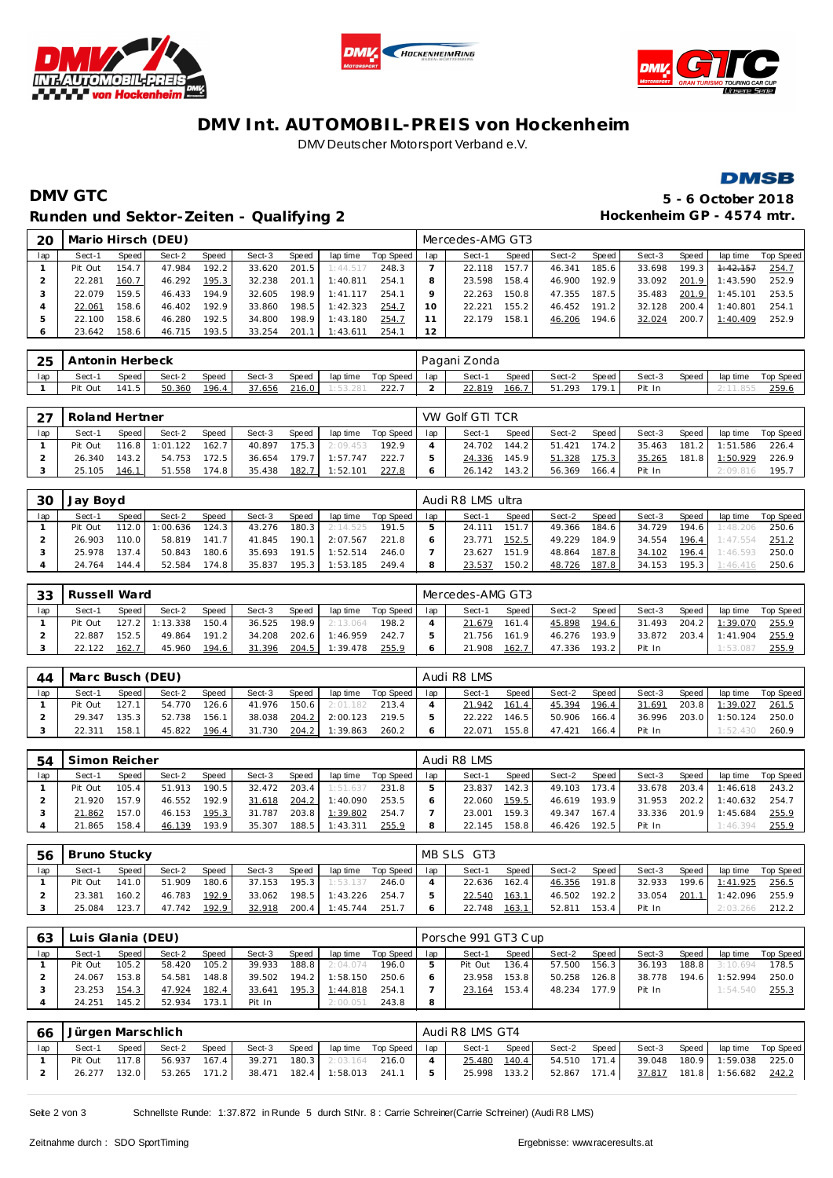





## **DMV Int. AUTOMOBIL-PREIS von Hockenheim** DMV Deutscher Motorsport Verband e.V.



## **DMV GTC 5 - 6 October 2018** Runden und Sektor-Zeiten - Qualifying 2 **and Europe Containers 1986** Hockenheim GP - 4574 mtr.

| 20  |         |       | Mario Hirsch (DEU) |       |        |       |          |           |     | Mercedes-AMG GT3 |       |        |        |        |       |          |           |
|-----|---------|-------|--------------------|-------|--------|-------|----------|-----------|-----|------------------|-------|--------|--------|--------|-------|----------|-----------|
| lap | Sect-1  | Speed | Sect-2             | Speed | Sect-3 | Speed | lap time | Top Speed | lap | Sect-1           | Speed | Sect-2 | Speed  | Sect-3 | Speed | lap time | Top Speed |
|     | Pit Out | 154.7 | 47.984             | 192.2 | 33.620 | 201.5 | 1:44.517 | 248.3     |     | 22.118           | 157.7 | 46.341 | 185.6  | 33.698 | 199.3 | 4:42.157 | 254.7     |
|     | 22.281  | 160.7 | 46.292             | 195.3 | 32.238 | 201.1 | 1:40.811 | 254.1     | 8   | 23.598           | 158.4 | 46.900 | 192.9  | 33.092 | 201.9 | 1:43.590 | 252.9     |
|     | 22.079  | 159.5 | 46.433             | 194.9 | 32.605 | 198.9 | 1:41.117 | 254.1     | o   | 22.263           | 150.8 | 47.355 | 187.5  | 35.483 | 201.9 | 1:45.101 | 253.5     |
|     | 22.061  | 158.6 | 46.402             | 192.9 | 33.860 | 198.5 | 1:42.323 | 254.7     | 10  | 22.221           | 155.2 | 46.452 | 191.21 | 32.128 | 200.4 | 1:40.801 | 254.1     |
| .b  | 22.100  | 158.6 | 46.280             | 192.5 | 34.800 | 198.9 | 1:43.180 | 254.7     |     | 22.179           | 158.1 | 46.206 | 194.6  | 32.024 | 200.7 | 1:40.409 | 252.9     |
|     | 23.642  | 158.6 | 46.715             | 193.5 | 33.254 | 201.7 | 1:43.611 | 254.1     | 12  |                  |       |        |        |        |       |          |           |

| 25  | Antonin Herbeck |       |        |       |        |       |          |           |     | Pagani Zonda |       |        |       |        |       |          |           |
|-----|-----------------|-------|--------|-------|--------|-------|----------|-----------|-----|--------------|-------|--------|-------|--------|-------|----------|-----------|
| lap | Sect-           | Speed | Sect-2 | Speed | Sect-3 | Speed | lap time | Top Speed | lap | Sect-1       | Speed | Sect-2 | Speed | Sect-3 | Speed | lap time | Top Speed |
|     | Pit Out         | 141.5 | 50.360 | 196.4 | 37.656 | 216.0 |          | 222.      |     | 22.819       | 166.  | 51.293 | 179.1 | Pit In |       |          | 259.6     |

| つフ  | Roland Hertner |       |          |              |        |                    |          |           |     | VW Golf GTI TCR |       |        |       |        |         |          |           |
|-----|----------------|-------|----------|--------------|--------|--------------------|----------|-----------|-----|-----------------|-------|--------|-------|--------|---------|----------|-----------|
| lap | Sect-1         | Speed | Sect-2   | <b>Speed</b> | Sect-3 | Speed              | lap time | Top Speed | lap | Sect-1          | Speed | Sect-2 | Speed | Sect-3 | Speed   | lap time | Top Speed |
|     | Pit Out        | 116.8 | 1:01.122 | 162.7        | 40.897 | 175.3              | 2:09.453 | 192.9     |     | 24.702          | 144.2 | 51.421 | 174.2 | 35.463 | $181.2$ | 1:51.586 | 226.4     |
|     | 26.340         | 143.2 | 54.753   | 172.5        | 36.654 | 179.7 <sup>1</sup> | 1:57.747 | 222.7     |     | 24.336          | 145.9 | 51.328 | 75.3  | 35.265 | 181.8   | 1:50.929 | 226.9     |
|     | 25.105         | 146.1 | 51.558   | 174.8        | 35.438 | 182.7              | 1:52.101 |           |     | 26.142          | 143.2 | 56.369 | 166.4 | Pit In |         | 2:09.81  | 195.      |

| 30  | Jay Boyd |              |         |       |        |       |          |           |     | Audi R8 LMS ultra |         |        |       |        |       |          |           |
|-----|----------|--------------|---------|-------|--------|-------|----------|-----------|-----|-------------------|---------|--------|-------|--------|-------|----------|-----------|
| lap | Sect-1   | <b>Speed</b> | Sect-2  | Speed | Sect-3 | Speed | lap time | Top Speed | lap | Sect-1            | Speed I | Sect-2 | Speed | Sect-3 | Speed | lap time | Top Speed |
|     | Pit Out  | 112.0        | :00.636 | 124.3 | 43.276 | 180.3 | 2:14.525 | 191.5     |     | 24.111            | 151.7   | 49.366 | 184.6 | 34.729 | 194.6 | 1:48.206 | 250.6     |
|     | 26.903   | 10.01        | 58.819  | 141.7 | 41.845 | 190.1 | 2:07.567 | 221.8     |     | 23.771            | 152.5   | 49.229 | 184.9 | 34.554 | 196.4 | 1:47.554 | 251.2     |
|     | 25.978   | 137.4        | 50.843  | 180.6 | 35.693 | 191.5 | 1:52.514 | 246.0     |     | 23.627            | 151.9   | 48.864 | 187.8 | 34.102 | 196.4 | 1:46.593 | 250.0     |
|     | 24.764   | 44.4         | 52.584  | 174.8 | 35.837 | 195.3 | 1:53.185 | 249.4     |     | 23.537            | 150.2   | 48.726 | 187.8 | 34.153 | 195.3 | 1:46.416 | 250.6     |

| 33  | Russell Ward |       |          |       |        |        |          |           |     | Mercedes-AMG GT3 |       |        |                    |        |              |          |           |
|-----|--------------|-------|----------|-------|--------|--------|----------|-----------|-----|------------------|-------|--------|--------------------|--------|--------------|----------|-----------|
| lap | Sect-1       | Speed | Sect-2   | Speed | Sect-3 | Speed  | lap time | Top Speed | lap | Sect-1           | Speed | Sect-2 | Speed              | Sect-3 | <b>Speed</b> | lap time | Top Speed |
|     | Pit Out      | 127.2 | 1:13.338 | 150.4 | 36.525 | 198.9  | 2:13.064 | 198.2     |     | 21.679           | 161.4 | 45.898 | 194.6 <sub>1</sub> | 31.493 | 204.2        | 1:39.070 | 255.9     |
|     | 22.887       | 152.5 | 49.864   | 191.2 | 34.208 | 202.61 | 1:46.959 | 242.      |     | .756<br>21       | 161.9 | 46.276 | 193.9              | 33.872 | 203.4        | 1:41.904 | 255.9     |
|     | 22.122       | 162.7 | 45.960   | 194.6 | 31.396 | 204.5  | 1:39.478 | 255.9     |     | 21.908           | 162.7 | 47.336 | 193.2 <sub>1</sub> | Pit In |              | 1:53.08  | 255.9     |

| 44  | Marc Busch (DEU) |         |        |       |        |       |          |           |     | Audi R8 LMS |       |        |       |        |       |                |             |
|-----|------------------|---------|--------|-------|--------|-------|----------|-----------|-----|-------------|-------|--------|-------|--------|-------|----------------|-------------|
| lap | Sect-1           | Speed I | Sect-2 | Speed | Sect-3 | Speed | lap time | Top Speed | lap | Sect-1      | Speed | Sect-2 | Speed | Sect-3 | Speed | lap time       | Top Speed I |
|     | Pit Out          | 127.1   | 54.770 | 126.6 | 41.976 | 150.6 | 2:01.182 | 213.4     |     | 21.942      | 161.4 | 45.394 | 196.4 | 31.691 |       | 203.8 1:39.027 | 261.5       |
|     | 29.347           | 135.3   | 52.738 | 156.1 | 38.038 | 204.2 | 2:00.123 | 219.5     |     | 22.222      | 146.5 | 50.906 | 166.4 | 36.996 |       | 203.0 1:50.124 | 250.0       |
|     | 22.311           | 158.11  | 45.822 | 196.4 | 31.730 | 204.2 | 1:39.863 | 260.2     |     | 22.071      | 155.8 | 47.421 | 166.4 | Pit In |       | 1:52.430       | 260.9       |

| 54  | Simon Reicher |       |        |       |        |       |          |           |     | Audi R8 LMS |                    |        |       |        |       |          |           |
|-----|---------------|-------|--------|-------|--------|-------|----------|-----------|-----|-------------|--------------------|--------|-------|--------|-------|----------|-----------|
| lap | Sect-1        | Speed | Sect-2 | Speed | Sect-3 | Speed | lap time | Top Speed | lap | Sect-1      | Speed              | Sect-2 | Speed | Sect-3 | Speed | lap time | Top Speed |
|     | Pit Out       | 105.4 | 51.913 | 190.5 | 32.472 | 203.4 | 1:51.637 | 231.8     |     | 23.837      | 142.3              | 49.103 | 173.4 | 33.678 | 203.4 | 1:46.618 | 243.2     |
|     | 21.920        | 157.9 | 46.552 | 192.9 | 31.618 | 204.2 | 1:40.090 | 253.5     |     | 22.060      | 159.5              | 46.619 | 193.9 | 31.953 | 202.2 | 1:40.632 | 254.7     |
|     | 21.862        | 157.0 | 46.153 | 195.3 | 31.787 | 203.8 | 1:39.802 | 254.7     |     | 23.001      | 159.3 <sub>1</sub> | 49.347 | 167.4 | 33.336 | 201.9 | 1:45.684 | 255.9     |
|     | 21.865        | 158.4 | 46.139 | 193.9 | 35.307 | 188.5 | 1:43.311 | 255.9     | 8   | 22.145      | 158.8              | 46.426 | 192.5 | Pit In |       | 1:46.394 | 255.9     |

| 56  | Bruno Stucky |       |        |       |        |       |          |           |     | MB SLS GT3 |       |        |       |        |       |          |           |
|-----|--------------|-------|--------|-------|--------|-------|----------|-----------|-----|------------|-------|--------|-------|--------|-------|----------|-----------|
| lap | Sect-1       | Speed | Sect-2 | Speed | Sect-3 | Speed | lap time | Top Speed | lan | Sect-1     | Speed | Sect-2 | Speed | Sect-3 | Speed | lap time | Top Speed |
|     | Pit Out      | 141.0 | 51.909 | 180.6 | 37.153 | 195.3 | 1:53.137 | 246.0     |     | 22.636     | 162.4 | 46.356 | 191.8 | 32.933 | 199.6 | 1:41.925 | 256.5     |
|     | 23.381       | 160.2 | 46.783 | 192.9 | 33.062 | 198.5 | 1:43.226 | 254.7     |     | 22.540     | 163.1 | 46.502 | 192.2 | 33.054 | 201.1 | 1:42.096 | 255.9     |
|     | 25.084       | 123.7 | 47.742 | 192.9 | 32.918 | 200.4 | 1:45.744 | 251.7     |     | 22.748     | 163.1 | 52.811 | 153.4 | Pit In |       | 2:03.266 | 212.2     |

| 63  | Luis Glania (DEU) |         |        |       |        |       |          |           |     | Porsche 991 GT3 Cup |       |        |        |        |       |          |           |
|-----|-------------------|---------|--------|-------|--------|-------|----------|-----------|-----|---------------------|-------|--------|--------|--------|-------|----------|-----------|
| lap | Sect-1            | Speed I | Sect-2 | Speed | Sect-3 | Speed | lap time | Top Speed | lap | Sect-1              | Speed | Sect-2 | Speed  | Sect-3 | Speed | lap time | Top Speed |
|     | Pit Out           | 105.2   | 58.420 | 105.2 | 39.933 | 188.8 | 2:04.074 | 196.0     |     | Pit Out             | 136.4 | 57.500 | 156.3  | 36.193 | 188.8 | 3:10.694 | 178.5     |
|     | 24.067            | 153.8   | 54.581 | 148.8 | 39.502 | 194.2 | 1:58.150 | 250.6     |     | 23.958              | 153.8 | 50.258 | 126.8  | 38.778 | 194.6 | 1:52.994 | 250.0     |
|     | 23.253            | 154.3   | 47.924 | 182.4 | 33.641 | 195.3 | 1:44.818 | 254.1     |     | 23.164              | 153.4 | 48.234 | 177.91 | Pit In |       | 1:54.540 | 255.3     |
|     | 24.251            | 145.2 l | 52.934 | 173.1 | Pit In |       | 2:00.051 | 243.8     |     |                     |       |        |        |        |       |          |           |

| 66  | Jürgen Marschlich |       |        |       |                                            |       |                        | Audi R8 LMS GT4 |       |              |       |        |                                |  |
|-----|-------------------|-------|--------|-------|--------------------------------------------|-------|------------------------|-----------------|-------|--------------|-------|--------|--------------------------------|--|
| lap | Sect-1            | Speed | Sect-2 | Speed | Sect-3                                     | Speed | lap time Top Speed lap | Sect-1          | Speed | Sect-2       | Speed | Sect-3 | Speed   lap time  Top Speed    |  |
|     | Pit Out 117.8     |       | 56.937 |       | 167.4 39.271 180.3 2:03.164                |       | 216.0                  | 25.480          | 140.4 | 54.510 171.4 |       |        | 39.048  180.9  1:59.038  225.0 |  |
|     | 26.277            | 132.0 |        |       | 53.265 171.2 38.471 182.4 1:58.013 241.1 5 |       |                        | 25.998 133.2    |       | 52.867 171.4 |       |        | 37.817  181.8  1:56.682  242.2 |  |

Seite 2 von 3 Schnellste Runde: 1:37.872 in Runde 5 durch StNr. 8 : Carrie Schreiner(Carrie Schreiner) (Audi R8 LMS)